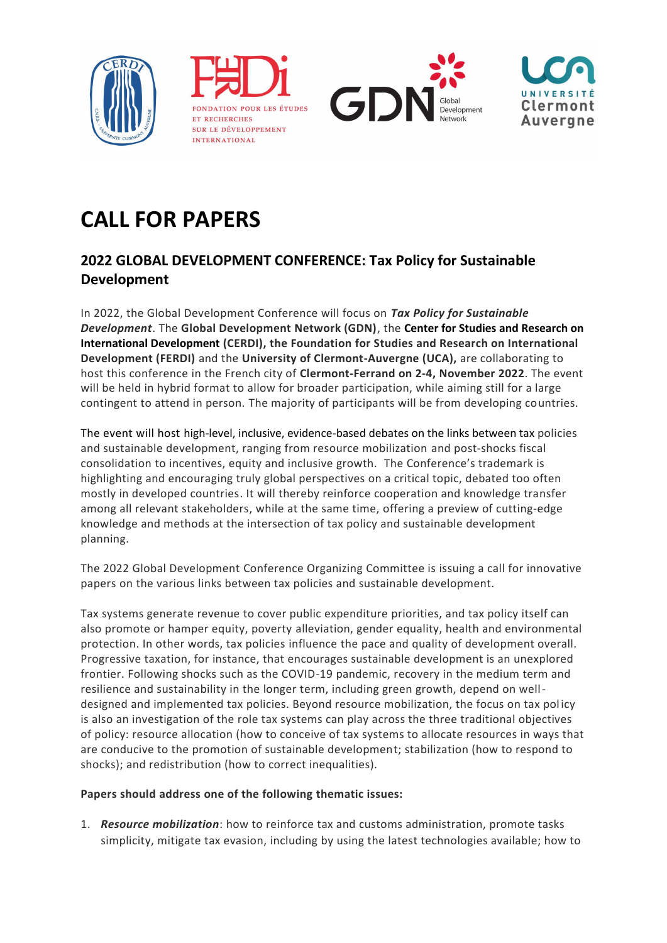

FONDATION POUR LES ÉTUDES ET RECHERCHES SUR LE DÉVELOPPEMENT INTERNATIONAL





## **CALL FOR PAPERS**

## **2022 GLOBAL DEVELOPMENT CONFERENCE: Tax Policy for Sustainable Development**

In 2022, the Global Development Conference will focus on *Tax Policy for Sustainable Development*. The **Global Development Network (GDN)**, the **Center for Studies and Research on International Development (CERDI), the Foundation for Studies and Research on International Development (FERDI)** and the **University of Clermont-Auvergne (UCA),** are collaborating to host this conference in the French city of **Clermont-Ferrand on 2-4, November 2022**. The event will be held in hybrid format to allow for broader participation, while aiming still for a large contingent to attend in person. The majority of participants will be from developing countries.

The event will host high-level, inclusive, evidence-based debates on the links between tax policies and sustainable development, ranging from resource mobilization and post-shocks fiscal consolidation to incentives, equity and inclusive growth. The Conference's trademark is highlighting and encouraging truly global perspectives on a critical topic, debated too often mostly in developed countries. It will thereby reinforce cooperation and knowledge transfer among all relevant stakeholders, while at the same time, offering a preview of cutting-edge knowledge and methods at the intersection of tax policy and sustainable development planning.

The 2022 Global Development Conference Organizing Committee is issuing a call for innovative papers on the various links between tax policies and sustainable development.

Tax systems generate revenue to cover public expenditure priorities, and tax policy itself can also promote or hamper equity, poverty alleviation, gender equality, health and environmental protection. In other words, tax policies influence the pace and quality of development overall. Progressive taxation, for instance, that encourages sustainable development is an unexplored frontier. Following shocks such as the COVID-19 pandemic, recovery in the medium term and resilience and sustainability in the longer term, including green growth, depend on welldesigned and implemented tax policies. Beyond resource mobilization, the focus on tax policy is also an investigation of the role tax systems can play across the three traditional objectives of policy: resource allocation (how to conceive of tax systems to allocate resources in ways that are conducive to the promotion of sustainable development; stabilization (how to respond to shocks); and redistribution (how to correct inequalities).

## **Papers should address one of the following thematic issues:**

1. *Resource mobilization*: how to reinforce tax and customs administration, promote tasks simplicity, mitigate tax evasion, including by using the latest technologies available; how to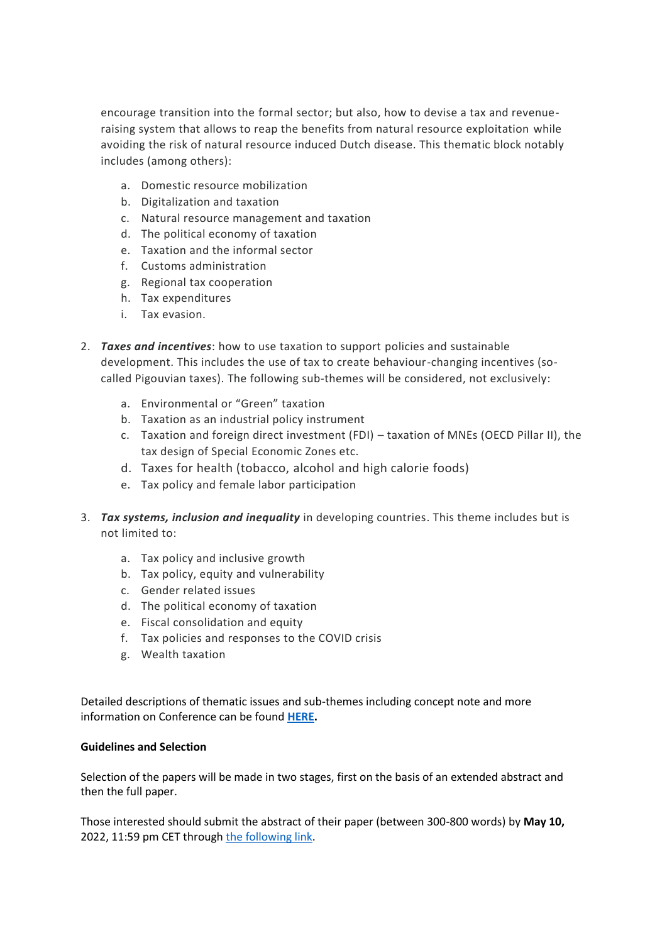encourage transition into the formal sector; but also, how to devise a tax and revenueraising system that allows to reap the benefits from natural resource exploitation while avoiding the risk of natural resource induced Dutch disease. This thematic block notably includes (among others):

- a. Domestic resource mobilization
- b. Digitalization and taxation
- c. Natural resource management and taxation
- d. The political economy of taxation
- e. Taxation and the informal sector
- f. Customs administration
- g. Regional tax cooperation
- h. Tax expenditures
- i. Tax evasion.
- 2. *Taxes and incentives*: how to use taxation to support policies and sustainable development. This includes the use of tax to create behaviour-changing incentives (socalled Pigouvian taxes). The following sub-themes will be considered, not exclusively:
	- a. Environmental or "Green" taxation
	- b. Taxation as an industrial policy instrument
	- c. Taxation and foreign direct investment (FDI) taxation of MNEs (OECD Pillar II), the tax design of Special Economic Zones etc.
	- d. Taxes for health (tobacco, alcohol and high calorie foods)
	- e. Tax policy and female labor participation
- 3. *Tax systems, inclusion and inequality* in developing countries. This theme includes but is not limited to:
	- a. Tax policy and inclusive growth
	- b. Tax policy, equity and vulnerability
	- c. Gender related issues
	- d. The political economy of taxation
	- e. Fiscal consolidation and equity
	- f. Tax policies and responses to the COVID crisis
	- g. Wealth taxation

Detailed descriptions of thematic issues and sub-themes including concept note and more information on Conference can be found **[HERE.](http://www.gdn.int/taxpolicyconference)** 

## **Guidelines and Selection**

Selection of the papers will be made in two stages, first on the basis of an extended abstract and then the full paper.

Those interested should submit the abstract of their paper (between 300-800 words) by **May 10,** 2022, 11:59 pm CET throug[h the following link.](https://gdc2022.awardsplatform.com/)